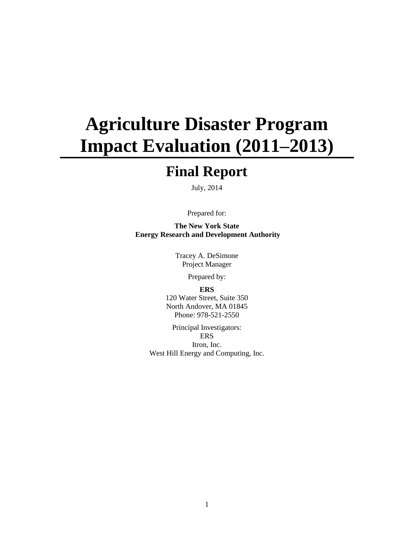# **Agriculture Disaster Program Impact Evaluation (2011–2013)**

## **Final Report**

July, 2014

Prepared for:

**The New York State Energy Research and Development Authority** 

> Tracey A. DeSimone Project Manager

> > Prepared by:

#### **ERS**

120 Water Street, Suite 350 North Andover, MA 01845 Phone: 978-521-2550

Principal Investigators: **ERS** Itron, Inc. West Hill Energy and Computing, Inc.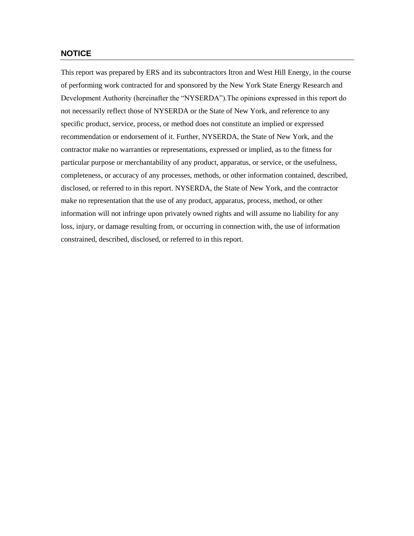#### **NOTICE**

This report was prepared by ERS and its subcontractors Itron and West Hill Energy, in the course of performing work contracted for and sponsored by the New York State Energy Research and Development Authority (hereinafter the "NYSERDA").The opinions expressed in this report do not necessarily reflect those of NYSERDA or the State of New York, and reference to any specific product, service, process, or method does not constitute an implied or expressed recommendation or endorsement of it. Further, NYSERDA, the State of New York, and the contractor make no warranties or representations, expressed or implied, as to the fitness for particular purpose or merchantability of any product, apparatus, or service, or the usefulness, completeness, or accuracy of any processes, methods, or other information contained, described, disclosed, or referred to in this report. NYSERDA, the State of New York, and the contractor make no representation that the use of any product, apparatus, process, method, or other information will not infringe upon privately owned rights and will assume no liability for any loss, injury, or damage resulting from, or occurring in connection with, the use of information constrained, described, disclosed, or referred to in this report.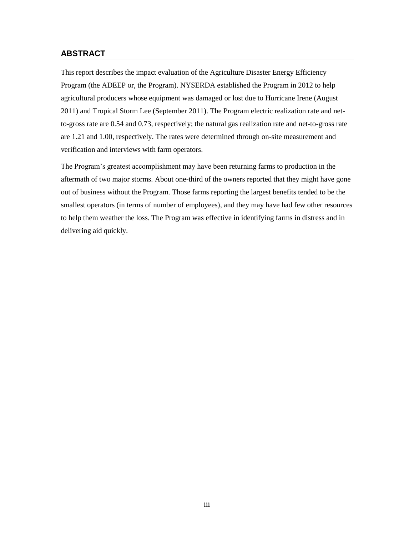#### **ABSTRACT**

This report describes the impact evaluation of the Agriculture Disaster Energy Efficiency Program (the ADEEP or, the Program). NYSERDA established the Program in 2012 to help agricultural producers whose equipment was damaged or lost due to Hurricane Irene (August 2011) and Tropical Storm Lee (September 2011). The Program electric realization rate and netto-gross rate are 0.54 and 0.73, respectively; the natural gas realization rate and net-to-gross rate are 1.21 and 1.00, respectively. The rates were determined through on-site measurement and verification and interviews with farm operators.

The Program's greatest accomplishment may have been returning farms to production in the aftermath of two major storms. About one-third of the owners reported that they might have gone out of business without the Program. Those farms reporting the largest benefits tended to be the smallest operators (in terms of number of employees), and they may have had few other resources to help them weather the loss. The Program was effective in identifying farms in distress and in delivering aid quickly.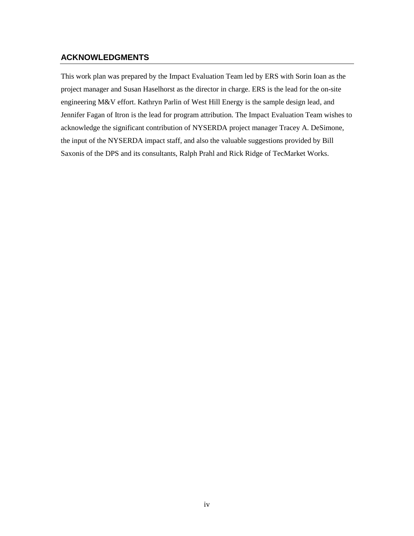#### **ACKNOWLEDGMENTS**

This work plan was prepared by the Impact Evaluation Team led by ERS with Sorin Ioan as the project manager and Susan Haselhorst as the director in charge. ERS is the lead for the on-site engineering M&V effort. Kathryn Parlin of West Hill Energy is the sample design lead, and Jennifer Fagan of Itron is the lead for program attribution. The Impact Evaluation Team wishes to acknowledge the significant contribution of NYSERDA project manager Tracey A. DeSimone, the input of the NYSERDA impact staff, and also the valuable suggestions provided by Bill Saxonis of the DPS and its consultants, Ralph Prahl and Rick Ridge of TecMarket Works.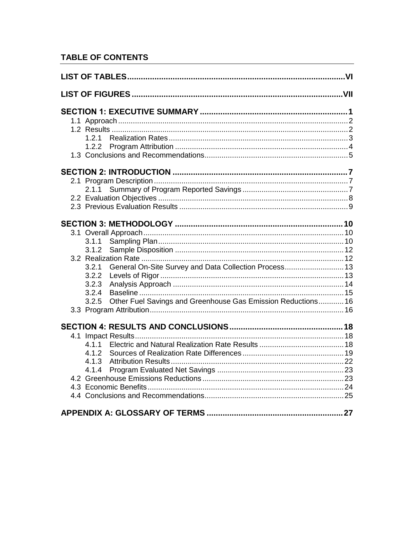## **TABLE OF CONTENTS**

| 1.2.2                                                                 |  |
|-----------------------------------------------------------------------|--|
|                                                                       |  |
|                                                                       |  |
|                                                                       |  |
| 2.1.1                                                                 |  |
|                                                                       |  |
|                                                                       |  |
|                                                                       |  |
|                                                                       |  |
| 3.1.1                                                                 |  |
| 3.1.2                                                                 |  |
|                                                                       |  |
| General On-Site Survey and Data Collection Process 13<br>3.2.1        |  |
| 3.2.2                                                                 |  |
| 3.2.3                                                                 |  |
| 3.2.4                                                                 |  |
| Other Fuel Savings and Greenhouse Gas Emission Reductions 16<br>3.2.5 |  |
|                                                                       |  |
|                                                                       |  |
|                                                                       |  |
| 4.1.1                                                                 |  |
| 4.1.2                                                                 |  |
| 4.1.3                                                                 |  |
| 4.1.4                                                                 |  |
|                                                                       |  |
|                                                                       |  |
|                                                                       |  |
|                                                                       |  |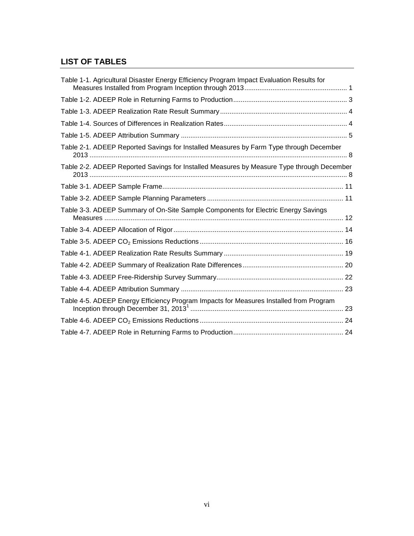## <span id="page-5-0"></span>**LIST OF TABLES**

| Table 1-1. Agricultural Disaster Energy Efficiency Program Impact Evaluation Results for  |  |
|-------------------------------------------------------------------------------------------|--|
|                                                                                           |  |
|                                                                                           |  |
|                                                                                           |  |
|                                                                                           |  |
| Table 2-1. ADEEP Reported Savings for Installed Measures by Farm Type through December    |  |
| Table 2-2. ADEEP Reported Savings for Installed Measures by Measure Type through December |  |
|                                                                                           |  |
|                                                                                           |  |
| Table 3-3. ADEEP Summary of On-Site Sample Components for Electric Energy Savings         |  |
|                                                                                           |  |
|                                                                                           |  |
|                                                                                           |  |
|                                                                                           |  |
|                                                                                           |  |
|                                                                                           |  |
|                                                                                           |  |
|                                                                                           |  |
|                                                                                           |  |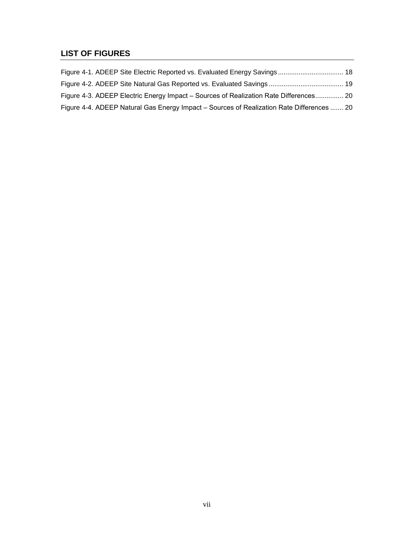## <span id="page-6-0"></span>**LIST OF FIGURES**

| Figure 4-3. ADEEP Electric Energy Impact – Sources of Realization Rate Differences 20     |  |
|-------------------------------------------------------------------------------------------|--|
| Figure 4-4. ADEEP Natural Gas Energy Impact – Sources of Realization Rate Differences  20 |  |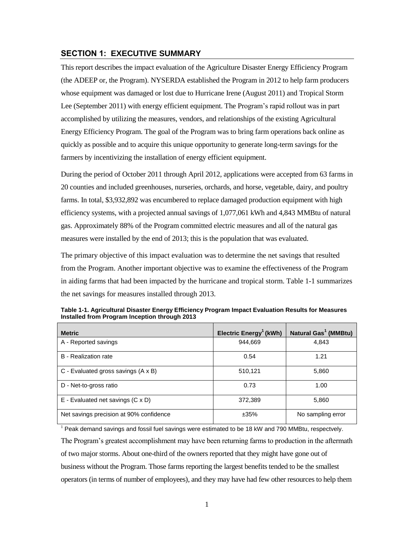#### <span id="page-8-0"></span>**SECTION 1: EXECUTIVE SUMMARY**

This report describes the impact evaluation of the Agriculture Disaster Energy Efficiency Program (the ADEEP or, the Program). NYSERDA established the Program in 2012 to help farm producers whose equipment was damaged or lost due to Hurricane Irene (August 2011) and Tropical Storm Lee (September 2011) with energy efficient equipment. The Program's rapid rollout was in part accomplished by utilizing the measures, vendors, and relationships of the existing Agricultural Energy Efficiency Program. The goal of the Program was to bring farm operations back online as quickly as possible and to acquire this unique opportunity to generate long-term savings for the farmers by incentivizing the installation of energy efficient equipment.

During the period of October 2011 through April 2012, applications were accepted from 63 farms in 20 counties and included greenhouses, nurseries, orchards, and horse, vegetable, dairy, and poultry farms. In total, \$3,932,892 was encumbered to replace damaged production equipment with high efficiency systems, with a projected annual savings of 1,077,061 kWh and 4,843 MMBtu of natural gas. Approximately 88% of the Program committed electric measures and all of the natural gas measures were installed by the end of 2013; this is the population that was evaluated.

The primary objective of this impact evaluation was to determine the net savings that resulted from the Program. Another important objective was to examine the effectiveness of the Program in aiding farms that had been impacted by the hurricane and tropical storm. [Table 1-1](#page-8-1) summarizes the net savings for measures installed through 2013.

| <b>Metric</b>                           | Electric $Energy1$ (kWh) | Natural Gas <sup>1</sup> (MMBtu) |
|-----------------------------------------|--------------------------|----------------------------------|
| A - Reported savings                    | 944,669                  | 4,843                            |
| B - Realization rate                    | 0.54                     | 1.21                             |
| C - Evaluated gross savings (A x B)     | 510,121                  | 5,860                            |
| D - Net-to-gross ratio                  | 0.73                     | 1.00                             |
| $E$ - Evaluated net savings (C x D)     | 372,389                  | 5,860                            |
| Net savings precision at 90% confidence | ±35%                     | No sampling error                |

<span id="page-8-1"></span>**Table 1-1. Agricultural Disaster Energy Efficiency Program Impact Evaluation Results for Measures Installed from Program Inception through 2013** 

 $1$  Peak demand savings and fossil fuel savings were estimated to be 18 kW and 790 MMBtu, respectvely. The Program's greatest accomplishment may have been returning farms to production in the aftermath of two major storms. About one-third of the owners reported that they might have gone out of business without the Program. Those farms reporting the largest benefits tended to be the smallest operators (in terms of number of employees), and they may have had few other resources to help them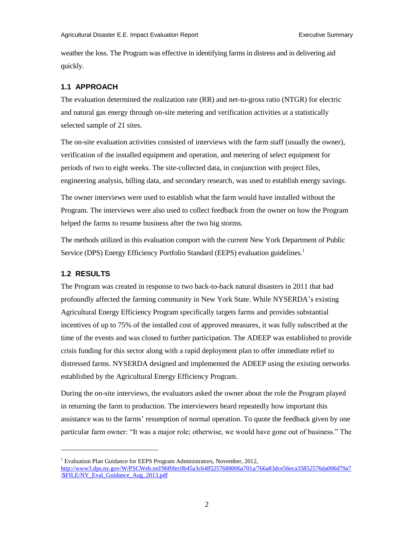weather the loss. The Program was effective in identifying farms in distress and in delivering aid quickly.

#### <span id="page-9-0"></span>**1.1 APPROACH**

The evaluation determined the realization rate (RR) and net-to-gross ratio (NTGR) for electric and natural gas energy through on-site metering and verification activities at a statistically selected sample of 21 sites.

The on-site evaluation activities consisted of interviews with the farm staff (usually the owner), verification of the installed equipment and operation, and metering of select equipment for periods of two to eight weeks. The site-collected data, in conjunction with project files, engineering analysis, billing data, and secondary research, was used to establish energy savings.

The owner interviews were used to establish what the farm would have installed without the Program. The interviews were also used to collect feedback from the owner on how the Program helped the farms to resume business after the two big storms.

The methods utilized in this evaluation comport with the current New York Department of Public Service (DPS) Energy Efficiency Portfolio Standard (EEPS) evaluation guidelines.<sup>1</sup>

#### <span id="page-9-1"></span>**1.2 RESULTS**

 $\overline{\phantom{a}}$ 

The Program was created in response to two back-to-back natural disasters in 2011 that had profoundly affected the farming community in New York State. While NYSERDA's existing Agricultural Energy Efficiency Program specifically targets farms and provides substantial incentives of up to 75% of the installed cost of approved measures, it was fully subscribed at the time of the events and was closed to further participation. The ADEEP was established to provide crisis funding for this sector along with a rapid deployment plan to offer immediate relief to distressed farms. NYSERDA designed and implemented the ADEEP using the existing networks established by the Agricultural Energy Efficiency Program.

During the on-site interviews, the evaluators asked the owner about the role the Program played in returning the farm to production. The interviewers heard repeatedly how important this assistance was to the farms' resumption of normal operation. To quote the feedback given by one particular farm owner: "It was a major role; otherwise, we would have gone out of business." The

<sup>&</sup>lt;sup>1</sup> Evaluation Plan Guidance for EEPS Program Administrators, November, 2012,

[http://www3.dps.ny.gov/W/PSCWeb.nsf/96f0fec0b45a3c6485257688006a701a/766a83dce56eca35852576da006d79a7](http://www3.dps.ny.gov/W/PSCWeb.nsf/96f0fec0b45a3c6485257688006a701a/766a83dce56eca35852576da006d79a7/$FILE/NY_Eval_Guidance_Aug_2013.pdf) */***\$FILE/NY\_Eval\_Guidance\_Aug\_2013.pdf**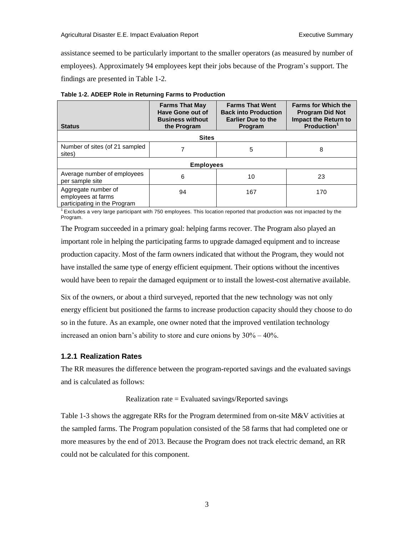assistance seemed to be particularly important to the smaller operators (as measured by number of employees). Approximately 94 employees kept their jobs because of the Program's support. The findings are presented in Table 1-2.

| <b>Status</b>                                                             | <b>Farms That May</b><br>Have Gone out of<br><b>Business without</b><br>the Program | <b>Farms That Went</b><br><b>Back into Production</b><br><b>Earlier Due to the</b><br><b>Program</b> | <b>Farms for Which the</b><br><b>Program Did Not</b><br><b>Impact the Return to</b><br><b>Production</b> |  |  |  |  |
|---------------------------------------------------------------------------|-------------------------------------------------------------------------------------|------------------------------------------------------------------------------------------------------|----------------------------------------------------------------------------------------------------------|--|--|--|--|
|                                                                           | <b>Sites</b>                                                                        |                                                                                                      |                                                                                                          |  |  |  |  |
| Number of sites (of 21 sampled<br>sites)                                  |                                                                                     | 5                                                                                                    | 8                                                                                                        |  |  |  |  |
| <b>Employees</b>                                                          |                                                                                     |                                                                                                      |                                                                                                          |  |  |  |  |
| Average number of employees<br>per sample site                            | 6                                                                                   | 10                                                                                                   | 23                                                                                                       |  |  |  |  |
| Aggregate number of<br>employees at farms<br>participating in the Program | 94                                                                                  | 167                                                                                                  | 170                                                                                                      |  |  |  |  |

<span id="page-10-1"></span>

 $1$  Excludes a very large participant with 750 employees. This location reported that production was not impacted by the Program.

The Program succeeded in a primary goal: helping farms recover. The Program also played an important role in helping the participating farms to upgrade damaged equipment and to increase production capacity. Most of the farm owners indicated that without the Program, they would not have installed the same type of energy efficient equipment. Their options without the incentives would have been to repair the damaged equipment or to install the lowest-cost alternative available.

Six of the owners, or about a third surveyed, reported that the new technology was not only energy efficient but positioned the farms to increase production capacity should they choose to do so in the future. As an example, one owner noted that the improved ventilation technology increased an onion barn's ability to store and cure onions by  $30\% - 40\%$ .

#### <span id="page-10-0"></span>**1.2.1 Realization Rates**

The RR measures the difference between the program-reported savings and the evaluated savings and is calculated as follows:

#### Realization rate = Evaluated savings/Reported savings

Table 1-3 shows the aggregate RRs for the Program determined from on-site M&V activities at the sampled farms. The Program population consisted of the 58 farms that had completed one or more measures by the end of 2013. Because the Program does not track electric demand, an RR could not be calculated for this component.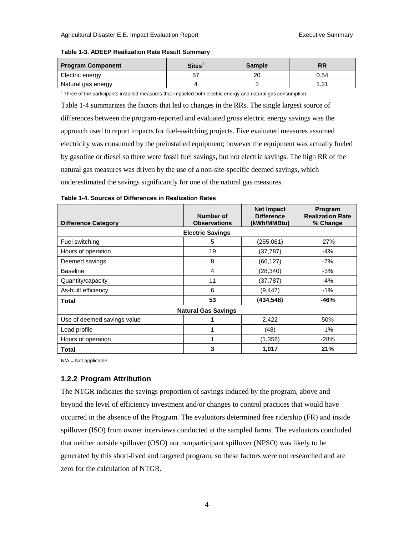#### <span id="page-11-1"></span>**Table 1-3. ADEEP Realization Rate Result Summary**

| <b>Program Component</b> | <b>Sites</b> | <b>Sample</b> | RR   |  |
|--------------------------|--------------|---------------|------|--|
| Electric energy          |              | 20            | 0.54 |  |
| Natural gas energy       |              |               |      |  |

<sup>1</sup> Three of the participants installed measures that impacted both electric energy and natural gas consumption.

Table 1-4 summarizes the factors that led to changes in the RRs. The single largest source of differences between the program-reported and evaluated gross electric energy savings was the approach used to report impacts for fuel-switching projects. Five evaluated measures assumed electricity was consumed by the preinstalled equipment; however the equipment was actually fueled by gasoline or diesel so there were fossil fuel savings, but not electric savings. The high RR of the natural gas measures was driven by the use of a non-site-specific deemed savings, which underestimated the savings significantly for one of the natural gas measures.

#### <span id="page-11-2"></span>**Table 1-4. Sources of Differences in Realization Rates Difference Category Number of Observations Net Impact Difference (kWh/MMBtu) Program Realization Rate % Change Electric Savings** Fuel switching  $\begin{array}{ccc} -27\% \\ -27\% \end{array}$ Hours of operation 19 (37,787) -4% Deemed savings 8 (66,127) -7% Baseline 4 (28,340) -3% Quantity/capacity **11** (37,787)  $\vert$  -4% As-built efficiency and the set of the set of the set of the set of the set of the set of the set of the set o **Total 53 (434,548) -46% Natural Gas Savings**

Use of deemed savings value 1 1 1 2,422 50% Load profile 1 (48) | -1% Hours of operation **1** (1,356) -28% **Total 3 1,017 21%**

N/A = Not applicable

#### <span id="page-11-0"></span>**1.2.2 Program Attribution**

The NTGR indicates the savings proportion of savings induced by the program, above and beyond the level of efficiency investment and/or changes to control practices that would have occurred in the absence of the Program. The evaluators determined free ridership (FR) and inside spillover (ISO) from owner interviews conducted at the sampled farms. The evaluators concluded that neither outside spillover (OSO) nor nonparticipant spillover (NPSO) was likely to be generated by this short-lived and targeted program, so these factors were not researched and are zero for the calculation of NTGR.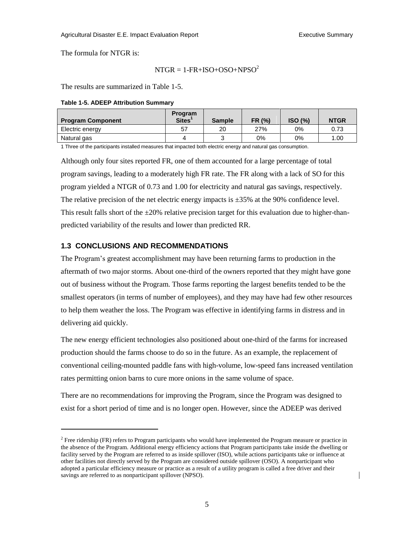The formula for NTGR is:

l

$$
NTGR = 1-FR+ISO+OSO+NPSO2
$$

The results are summarized in Table 1-5.

#### <span id="page-12-1"></span>**Table 1-5. ADEEP Attribution Summary**

| <b>Program Component</b> | Program<br><b>Sites</b> | <b>Sample</b> | FR (%) | ISO (%) | <b>NTGR</b> |
|--------------------------|-------------------------|---------------|--------|---------|-------------|
| Electric energy          | 57                      | 20            | 27%    | 0%      | 0.73        |
| Natural gas              |                         |               | 0%     | 0%      | 1.00        |

1 Three of the participants installed measures that impacted both electric energy and natural gas consumption.

Although only four sites reported FR, one of them accounted for a large percentage of total program savings, leading to a moderately high FR rate. The FR along with a lack of SO for this program yielded a NTGR of 0.73 and 1.00 for electricity and natural gas savings, respectively. The relative precision of the net electric energy impacts is  $\pm 35\%$  at the 90% confidence level. This result falls short of the  $\pm 20\%$  relative precision target for this evaluation due to higher-thanpredicted variability of the results and lower than predicted RR.

#### <span id="page-12-0"></span>**1.3 CONCLUSIONS AND RECOMMENDATIONS**

The Program's greatest accomplishment may have been returning farms to production in the aftermath of two major storms. About one-third of the owners reported that they might have gone out of business without the Program. Those farms reporting the largest benefits tended to be the smallest operators (in terms of number of employees), and they may have had few other resources to help them weather the loss. The Program was effective in identifying farms in distress and in delivering aid quickly.

The new energy efficient technologies also positioned about one-third of the farms for increased production should the farms choose to do so in the future. As an example, the replacement of conventional ceiling-mounted paddle fans with high-volume, low-speed fans increased ventilation rates permitting onion barns to cure more onions in the same volume of space.

There are no recommendations for improving the Program, since the Program was designed to exist for a short period of time and is no longer open. However, since the ADEEP was derived

<sup>&</sup>lt;sup>2</sup> Free ridership (FR) refers to Program participants who would have implemented the Program measure or practice in the absence of the Program. Additional energy efficiency actions that Program participants take inside the dwelling or facility served by the Program are referred to as inside spillover (ISO), while actions participants take or influence at other facilities not directly served by the Program are considered outside spillover (OSO). A nonparticipant who adopted a particular efficiency measure or practice as a result of a utility program is called a free driver and their savings are referred to as nonparticipant spillover (NPSO).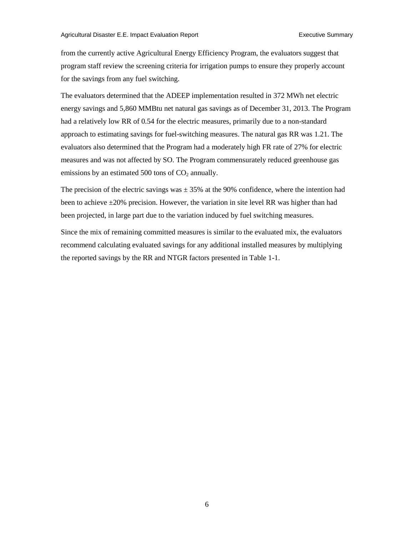from the currently active Agricultural Energy Efficiency Program, the evaluators suggest that program staff review the screening criteria for irrigation pumps to ensure they properly account for the savings from any fuel switching.

The evaluators determined that the ADEEP implementation resulted in 372 MWh net electric energy savings and 5,860 MMBtu net natural gas savings as of December 31, 2013. The Program had a relatively low RR of 0.54 for the electric measures, primarily due to a non-standard approach to estimating savings for fuel-switching measures. The natural gas RR was 1.21. The evaluators also determined that the Program had a moderately high FR rate of 27% for electric measures and was not affected by SO. The Program commensurately reduced greenhouse gas emissions by an estimated 500 tons of  $CO<sub>2</sub>$  annually.

The precision of the electric savings was  $\pm$  35% at the 90% confidence, where the intention had been to achieve  $\pm 20\%$  precision. However, the variation in site level RR was higher than had been projected, in large part due to the variation induced by fuel switching measures.

Since the mix of remaining committed measures is similar to the evaluated mix, the evaluators recommend calculating evaluated savings for any additional installed measures by multiplying the reported savings by the RR and NTGR factors presented in Table 1-1.

6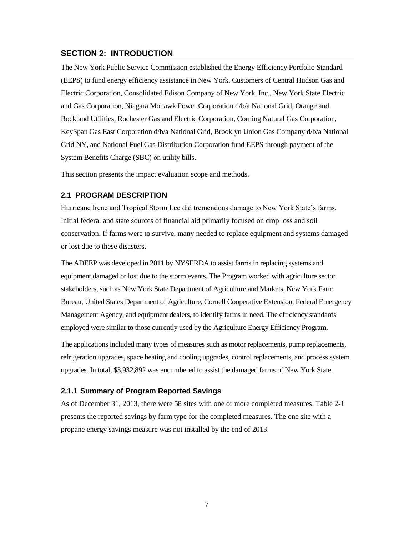#### <span id="page-14-0"></span>**SECTION 2: INTRODUCTION**

The New York Public Service Commission established the Energy Efficiency Portfolio Standard (EEPS) to fund energy efficiency assistance in New York. Customers of Central Hudson Gas and Electric Corporation, Consolidated Edison Company of New York, Inc., New York State Electric and Gas Corporation, Niagara Mohawk Power Corporation d/b/a National Grid, Orange and Rockland Utilities, Rochester Gas and Electric Corporation, Corning Natural Gas Corporation, KeySpan Gas East Corporation d/b/a National Grid, Brooklyn Union Gas Company d/b/a National Grid NY, and National Fuel Gas Distribution Corporation fund EEPS through payment of the System Benefits Charge (SBC) on utility bills.

This section presents the impact evaluation scope and methods.

#### <span id="page-14-1"></span>**2.1 PROGRAM DESCRIPTION**

Hurricane Irene and Tropical Storm Lee did tremendous damage to New York State's farms. Initial federal and state sources of financial aid primarily focused on crop loss and soil conservation. If farms were to survive, many needed to replace equipment and systems damaged or lost due to these disasters.

The ADEEP was developed in 2011 by NYSERDA to assist farms in replacing systems and equipment damaged or lost due to the storm events. The Program worked with agriculture sector stakeholders, such as New York State Department of Agriculture and Markets, New York Farm Bureau, United States Department of Agriculture, Cornell Cooperative Extension, Federal Emergency Management Agency, and equipment dealers, to identify farms in need. The efficiency standards employed were similar to those currently used by the Agriculture Energy Efficiency Program.

The applications included many types of measures such as motor replacements, pump replacements, refrigeration upgrades, space heating and cooling upgrades, control replacements, and process system upgrades. In total, \$3,932,892 was encumbered to assist the damaged farms of New York State.

#### <span id="page-14-2"></span>**2.1.1 Summary of Program Reported Savings**

<span id="page-14-3"></span>As of December 31, 2013, there were 58 sites with one or more completed measures. Table 2-1 presents the reported savings by farm type for the completed measures. The one site with a propane energy savings measure was not installed by the end of 2013.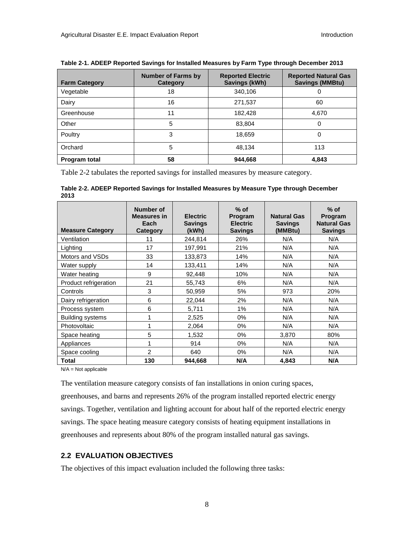| <b>Farm Category</b> | <b>Number of Farms by</b><br>Category | <b>Reported Electric</b><br>Savings (kWh) | <b>Reported Natural Gas</b><br><b>Savings (MMBtu)</b> |
|----------------------|---------------------------------------|-------------------------------------------|-------------------------------------------------------|
| Vegetable            | 18                                    | 340,106                                   |                                                       |
| Dairy                | 16                                    | 271,537                                   | 60                                                    |
| Greenhouse           | 11                                    | 182,428                                   | 4,670                                                 |
| Other                | 5                                     | 83,804                                    | 0                                                     |
| Poultry              | 3                                     | 18,659                                    | 0                                                     |
| Orchard              | 5                                     | 48.134                                    | 113                                                   |
| Program total        | 58                                    | 944,668                                   | 4,843                                                 |

Table 2-2 tabulates the reported savings for installed measures by measure category.

<span id="page-15-1"></span>**Table 2-2. ADEEP Reported Savings for Installed Measures by Measure Type through December 2013**

| <b>Measure Category</b> | Number of<br><b>Measures in</b><br>Each<br>Category | <b>Electric</b><br><b>Savings</b><br>(kWh) | $%$ of<br>Program<br><b>Electric</b><br><b>Savings</b> | <b>Natural Gas</b><br><b>Savings</b><br>(MMBtu) | $%$ of<br>Program<br><b>Natural Gas</b><br><b>Savings</b> |
|-------------------------|-----------------------------------------------------|--------------------------------------------|--------------------------------------------------------|-------------------------------------------------|-----------------------------------------------------------|
| Ventilation             | 11                                                  | 244,814                                    | 26%                                                    | N/A                                             | N/A                                                       |
| Lighting                | 17                                                  | 197,991                                    | 21%                                                    | N/A                                             | N/A                                                       |
| Motors and VSDs         | 33                                                  | 133,873                                    | 14%                                                    | N/A                                             | N/A                                                       |
| Water supply            | 14                                                  | 133,411                                    | 14%                                                    | N/A                                             | N/A                                                       |
| Water heating           | 9                                                   | 92,448                                     | 10%                                                    | N/A                                             | N/A                                                       |
| Product refrigeration   | 21                                                  | 55,743                                     | 6%                                                     | N/A                                             | N/A                                                       |
| Controls                | 3                                                   | 50,959                                     | 5%                                                     | 973                                             | 20%                                                       |
| Dairy refrigeration     | 6                                                   | 22,044                                     | 2%                                                     | N/A                                             | N/A                                                       |
| Process system          | 6                                                   | 5,711                                      | 1%                                                     | N/A                                             | N/A                                                       |
| Building systems        | 1                                                   | 2,525                                      | $0\%$                                                  | N/A                                             | N/A                                                       |
| Photovoltaic            | 1                                                   | 2,064                                      | $0\%$                                                  | N/A                                             | N/A                                                       |
| Space heating           | 5                                                   | 1,532                                      | $0\%$                                                  | 3,870                                           | 80%                                                       |
| Appliances              | 1                                                   | 914                                        | $0\%$                                                  | N/A                                             | N/A                                                       |
| Space cooling           | $\mathfrak{p}$                                      | 640                                        | $0\%$                                                  | N/A                                             | N/A                                                       |
| Total                   | 130                                                 | 944.668                                    | N/A                                                    | 4.843                                           | N/A                                                       |

N/A = Not applicable

The ventilation measure category consists of fan installations in onion curing spaces, greenhouses, and barns and represents 26% of the program installed reported electric energy savings. Together, ventilation and lighting account for about half of the reported electric energy savings. The space heating measure category consists of heating equipment installations in greenhouses and represents about 80% of the program installed natural gas savings.

#### <span id="page-15-0"></span>**2.2 EVALUATION OBJECTIVES**

The objectives of this impact evaluation included the following three tasks: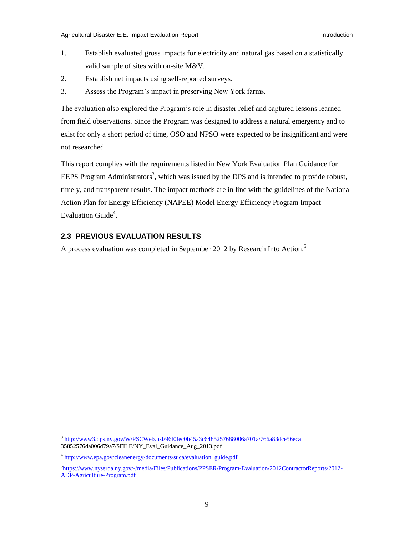- 1. Establish evaluated gross impacts for electricity and natural gas based on a statistically valid sample of sites with on-site M&V.
- 2. Establish net impacts using self-reported surveys.
- 3. Assess the Program's impact in preserving New York farms.

The evaluation also explored the Program's role in disaster relief and captured lessons learned from field observations. Since the Program was designed to address a natural emergency and to exist for only a short period of time, OSO and NPSO were expected to be insignificant and were not researched.

This report complies with the requirements listed in New York Evaluation Plan Guidance for EEPS Program Administrators<sup>3</sup>, which was issued by the DPS and is intended to provide robust, timely, and transparent results. The impact methods are in line with the guidelines of the National Action Plan for Energy Efficiency (NAPEE) Model Energy Efficiency Program Impact Evaluation Guide<sup>4</sup>.

## <span id="page-16-0"></span>**2.3 PREVIOUS EVALUATION RESULTS**

A process evaluation was completed in September 2012 by Research Into Action.<sup>5</sup>

 $\overline{\phantom{a}}$ 

<sup>&</sup>lt;sup>3</sup> <http://www3.dps.ny.gov/W/PSCWeb.nsf/96f0fec0b45a3c6485257688006a701a/766a83dce56eca> 35852576da006d79a7/\$FILE/NY\_Eval\_Guidance\_Aug\_2013.pdf

<sup>&</sup>lt;sup>4</sup> [http://www.epa.gov/cleanenergy/documents/suca/evaluation\\_guide.pdf](http://www.epa.gov/cleanenergy/documents/suca/evaluation_guide.pdf)

<sup>5</sup> [https://www.nyserda.ny.gov/-/media/Files/Publications/PPSER/Program-Evaluation/2012ContractorReports/2012-](https://www.nyserda.ny.gov/-/media/Files/Publications/PPSER/Program-Evaluation/2012ContractorReports/2012-ADP-Agriculture-Program.pdf) [ADP-Agriculture-Program.pdf](https://www.nyserda.ny.gov/-/media/Files/Publications/PPSER/Program-Evaluation/2012ContractorReports/2012-ADP-Agriculture-Program.pdf)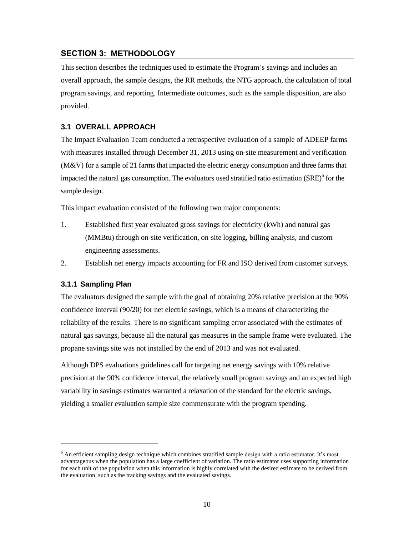## <span id="page-17-0"></span>**SECTION 3: METHODOLOGY**

This section describes the techniques used to estimate the Program's savings and includes an overall approach, the sample designs, the RR methods, the NTG approach, the calculation of total program savings, and reporting. Intermediate outcomes, such as the sample disposition, are also provided.

#### <span id="page-17-1"></span>**3.1 OVERALL APPROACH**

The Impact Evaluation Team conducted a retrospective evaluation of a sample of ADEEP farms with measures installed through December 31, 2013 using on-site measurement and verification (M&V) for a sample of 21 farms that impacted the electric energy consumption and three farms that impacted the natural gas consumption. The evaluators used stratified ratio estimation (SRE)<sup>6</sup> for the sample design.

This impact evaluation consisted of the following two major components:

1. Established first year evaluated gross savings for electricity (kWh) and natural gas (MMBtu) through on-site verification, on-site logging, billing analysis, and custom engineering assessments.

2. Establish net energy impacts accounting for FR and ISO derived from customer surveys.

#### <span id="page-17-2"></span>**3.1.1 Sampling Plan**

l

The evaluators designed the sample with the goal of obtaining 20% relative precision at the 90% confidence interval (90/20) for net electric savings, which is a means of characterizing the reliability of the results. There is no significant sampling error associated with the estimates of natural gas savings, because all the natural gas measures in the sample frame were evaluated. The propane savings site was not installed by the end of 2013 and was not evaluated.

Although DPS evaluations guidelines call for targeting net energy savings with 10% relative precision at the 90% confidence interval, the relatively small program savings and an expected high variability in savings estimates warranted a relaxation of the standard for the electric savings, yielding a smaller evaluation sample size commensurate with the program spending.

<sup>&</sup>lt;sup>6</sup> An efficient sampling design technique which combines stratified sample design with a ratio estimator. It's most advantageous when the population has a large coefficient of variation. The ratio estimator uses supporting information for each unit of the population when this information is highly correlated with the desired estimate to be derived from the evaluation, such as the tracking savings and the evaluated savings.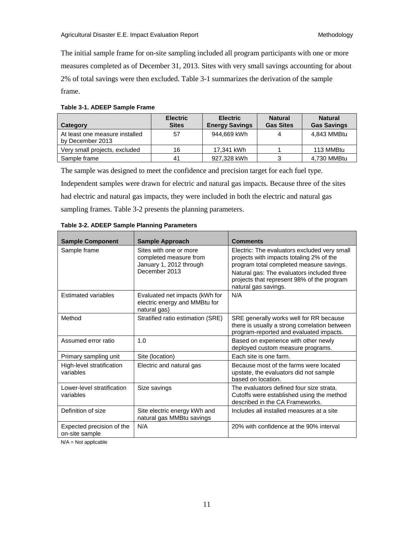The initial sample frame for on-site sampling included all program participants with one or more measures completed as of December 31, 2013. Sites with very small savings accounting for about 2% of total savings were then excluded. Table 3-1 summarizes the derivation of the sample frame.

#### <span id="page-18-0"></span>**Table 3-1. ADEEP Sample Frame**

| Category                                           | <b>Electric</b><br><b>Sites</b> | <b>Electric</b><br><b>Energy Savings</b> | <b>Natural</b><br><b>Gas Sites</b> | <b>Natural</b><br><b>Gas Savings</b> |
|----------------------------------------------------|---------------------------------|------------------------------------------|------------------------------------|--------------------------------------|
| At least one measure installed<br>by December 2013 | 57                              | 944.669 kWh                              |                                    | 4.843 MMBtu                          |
| Very small projects, excluded                      | 16                              | 17,341 kWh                               |                                    | 113 MMBtu                            |
| Sample frame                                       | 41                              | 927.328 kWh                              |                                    | 4,730 MMBtu                          |

The sample was designed to meet the confidence and precision target for each fuel type. Independent samples were drawn for electric and natural gas impacts. Because three of the sites had electric and natural gas impacts, they were included in both the electric and natural gas sampling frames. Table 3-2 presents the planning parameters.

| <b>Sample Component</b>                     | <b>Sample Approach</b>                                                                       | <b>Comments</b>                                                                                                                                                                                                                  |
|---------------------------------------------|----------------------------------------------------------------------------------------------|----------------------------------------------------------------------------------------------------------------------------------------------------------------------------------------------------------------------------------|
| Sample frame                                | Sites with one or more<br>completed measure from<br>January 1, 2012 through<br>December 2013 | Electric: The evaluators excluded very small<br>projects with impacts totaling 2% of the<br>program total completed measure savings.<br>Natural gas: The evaluators included three<br>projects that represent 98% of the program |
| <b>Estimated variables</b>                  | Evaluated net impacts (kWh for<br>electric energy and MMBtu for<br>natural gas)              | natural gas savings.<br>N/A                                                                                                                                                                                                      |
| Method                                      | Stratified ratio estimation (SRE)                                                            | SRE generally works well for RR because<br>there is usually a strong correlation between<br>program-reported and evaluated impacts.                                                                                              |
| Assumed error ratio                         | 1.0                                                                                          | Based on experience with other newly<br>deployed custom measure programs.                                                                                                                                                        |
| Primary sampling unit                       | Site (location)                                                                              | Each site is one farm.                                                                                                                                                                                                           |
| High-level stratification<br>variables      | Electric and natural gas                                                                     | Because most of the farms were located<br>upstate, the evaluators did not sample<br>based on location.                                                                                                                           |
| Lower-level stratification<br>variables     | Size savings                                                                                 | The evaluators defined four size strata.<br>Cutoffs were established using the method<br>described in the CA Frameworks.                                                                                                         |
| Definition of size                          | Site electric energy kWh and<br>natural gas MMBtu savings                                    | Includes all installed measures at a site                                                                                                                                                                                        |
| Expected precision of the<br>on-site sample | N/A                                                                                          | 20% with confidence at the 90% interval                                                                                                                                                                                          |

<span id="page-18-1"></span>

N/A = Not applicable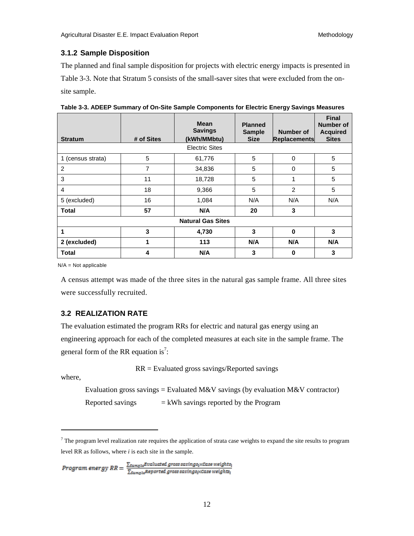#### <span id="page-19-0"></span>**3.1.2 Sample Disposition**

The planned and final sample disposition for projects with electric energy impacts is presented in Table 3-3. Note that Stratum 5 consists of the small-saver sites that were excluded from the onsite sample.

| <b>Stratum</b>    | # of Sites | <b>Mean</b><br><b>Savings</b><br>(kWh/MMbtu) | <b>Planned</b><br><b>Sample</b><br><b>Size</b> | Number of<br><b>Replacements</b> | <b>Final</b><br>Number of<br><b>Acquired</b><br><b>Sites</b> |
|-------------------|------------|----------------------------------------------|------------------------------------------------|----------------------------------|--------------------------------------------------------------|
|                   |            | <b>Electric Sites</b>                        |                                                |                                  |                                                              |
| 1 (census strata) | 5          | 61,776                                       | 5                                              | 0                                | 5                                                            |
| 2                 | 7          | 34,836                                       | 5                                              | 0                                | 5                                                            |
| 3                 | 11         | 18,728                                       | 5                                              | 1                                | 5                                                            |
| 4                 | 18         | 9,366                                        | 5                                              | $\overline{2}$                   | 5                                                            |
| 5 (excluded)      | 16         | 1,084                                        | N/A                                            | N/A                              | N/A                                                          |
| <b>Total</b>      | 57         | N/A                                          | 20                                             | 3                                |                                                              |
|                   |            | <b>Natural Gas Sites</b>                     |                                                |                                  |                                                              |
| 1                 | 3          | 4,730                                        | 3                                              | 0                                | 3                                                            |
| 2 (excluded)      | 1          | 113                                          | N/A                                            | N/A                              | N/A                                                          |
| <b>Total</b>      | 4          | N/A                                          | 3                                              | 0                                | 3                                                            |

<span id="page-19-2"></span>

|  | Table 3-3. ADEEP Summary of On-Site Sample Components for Electric Energy Savings Measures |  |  |  |  |
|--|--------------------------------------------------------------------------------------------|--|--|--|--|
|--|--------------------------------------------------------------------------------------------|--|--|--|--|

N/A = Not applicable

A census attempt was made of the three sites in the natural gas sample frame. All three sites were successfully recruited.

## <span id="page-19-1"></span>**3.2 REALIZATION RATE**

The evaluation estimated the program RRs for electric and natural gas energy using an engineering approach for each of the completed measures at each site in the sample frame. The general form of the RR equation is<sup>7</sup>:

RR = Evaluated gross savings/Reported savings

where,

l

Evaluation gross savings = Evaluated M&V savings (by evaluation M&V contractor) Reported savings  $=$  kWh savings reported by the Program

```
Program\ energy\ RR = \frac{\sum_{Sampla} Evaluated\ gross\ savings\{\text{}weights_1}}{\sum_{Sampla} Reported\ gross\ savings\{\text{}x}Case\ weights_1}
```
 $<sup>7</sup>$  The program level realization rate requires the application of strata case weights to expand the site results to program</sup> level RR as follows, where *i* is each site in the sample.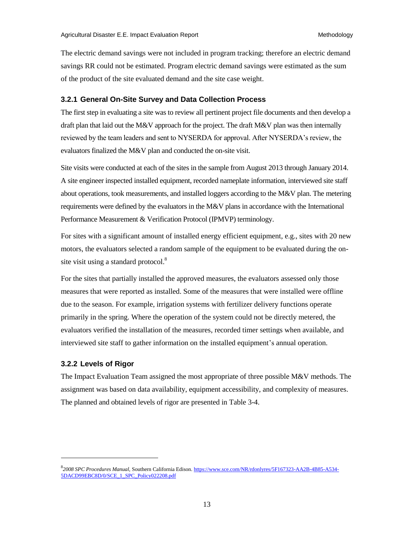The electric demand savings were not included in program tracking; therefore an electric demand savings RR could not be estimated. Program electric demand savings were estimated as the sum of the product of the site evaluated demand and the site case weight.

#### <span id="page-20-0"></span>**3.2.1 General On-Site Survey and Data Collection Process**

The first step in evaluating a site was to review all pertinent project file documents and then develop a draft plan that laid out the M&V approach for the project. The draft M&V plan was then internally reviewed by the team leaders and sent to NYSERDA for approval. After NYSERDA's review, the evaluators finalized the M&V plan and conducted the on-site visit.

Site visits were conducted at each of the sites in the sample from August 2013 through January 2014. A site engineer inspected installed equipment, recorded nameplate information, interviewed site staff about operations, took measurements, and installed loggers according to the M&V plan. The metering requirements were defined by the evaluators in the M&V plans in accordance with the International Performance Measurement & Verification Protocol (IPMVP) terminology.

For sites with a significant amount of installed energy efficient equipment, e.g., sites with 20 new motors, the evaluators selected a random sample of the equipment to be evaluated during the onsite visit using a standard protocol. $8$ 

For the sites that partially installed the approved measures, the evaluators assessed only those measures that were reported as installed. Some of the measures that were installed were offline due to the season. For example, irrigation systems with fertilizer delivery functions operate primarily in the spring. Where the operation of the system could not be directly metered, the evaluators verified the installation of the measures, recorded timer settings when available, and interviewed site staff to gather information on the installed equipment's annual operation.

#### <span id="page-20-1"></span>**3.2.2 Levels of Rigor**

<span id="page-20-2"></span>l

The Impact Evaluation Team assigned the most appropriate of three possible M&V methods. The assignment was based on data availability, equipment accessibility, and complexity of measures. The planned and obtained levels of rigor are presented in Table 3-4.

<sup>8</sup> *2008 SPC Procedures Manual,* Southern California Edison[. https://www.sce.com/NR/rdonlyres/5F167323-AA2B-4B85-A534-](https://www.sce.com/NR/rdonlyres/5F167323-AA2B-4B85-A534-5DACD99EBC8D/0/SCE_1_SPC_Policy022208.pdf) [5DACD99EBC8D/0/SCE\\_1\\_SPC\\_Policy022208.pdf](https://www.sce.com/NR/rdonlyres/5F167323-AA2B-4B85-A534-5DACD99EBC8D/0/SCE_1_SPC_Policy022208.pdf)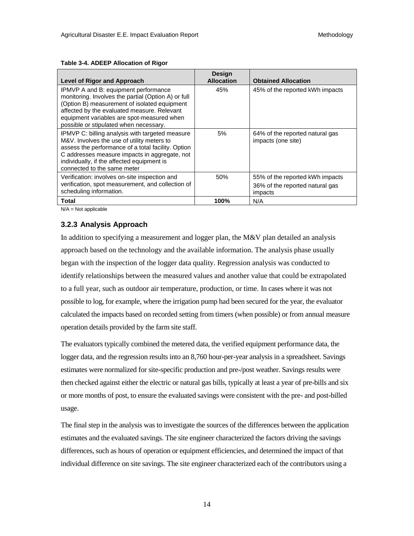| Level of Rigor and Approach                                                                                                                                                                                                                                                        | <b>Design</b><br><b>Allocation</b> | <b>Obtained Allocation</b>                                                    |
|------------------------------------------------------------------------------------------------------------------------------------------------------------------------------------------------------------------------------------------------------------------------------------|------------------------------------|-------------------------------------------------------------------------------|
| IPMVP A and B: equipment performance<br>monitoring. Involves the partial (Option A) or full<br>(Option B) measurement of isolated equipment<br>affected by the evaluated measure. Relevant<br>equipment variables are spot-measured when<br>possible or stipulated when necessary. | 45%                                | 45% of the reported kWh impacts                                               |
| IPMVP C: billing analysis with targeted measure<br>M&V. Involves the use of utility meters to<br>assess the performance of a total facility. Option<br>C addresses measure impacts in aggregate, not<br>individually, if the affected equipment is<br>connected to the same meter  | 5%                                 | 64% of the reported natural gas<br>impacts (one site)                         |
| Verification: involves on-site inspection and<br>verification, spot measurement, and collection of<br>scheduling information.                                                                                                                                                      | 50%                                | 55% of the reported kWh impacts<br>36% of the reported natural gas<br>impacts |
| Total                                                                                                                                                                                                                                                                              | 100%                               | N/A                                                                           |

#### **Table 3-4. ADEEP Allocation of Rigor**

<span id="page-21-0"></span>N/A = Not applicable

#### **3.2.3 Analysis Approach**

In addition to specifying a measurement and logger plan, the M&V plan detailed an analysis approach based on the technology and the available information. The analysis phase usually began with the inspection of the logger data quality. Regression analysis was conducted to identify relationships between the measured values and another value that could be extrapolated to a full year, such as outdoor air temperature, production, or time. In cases where it was not possible to log, for example, where the irrigation pump had been secured for the year, the evaluator calculated the impacts based on recorded setting from timers (when possible) or from annual measure operation details provided by the farm site staff.

The evaluators typically combined the metered data, the verified equipment performance data, the logger data, and the regression results into an 8,760 hour-per-year analysis in a spreadsheet. Savings estimates were normalized for site-specific production and pre-/post weather. Savings results were then checked against either the electric or natural gas bills, typically at least a year of pre-bills and six or more months of post, to ensure the evaluated savings were consistent with the pre- and post-billed usage.

The final step in the analysis was to investigate the sources of the differences between the application estimates and the evaluated savings. The site engineer characterized the factors driving the savings differences, such as hours of operation or equipment efficiencies, and determined the impact of that individual difference on site savings. The site engineer characterized each of the contributors using a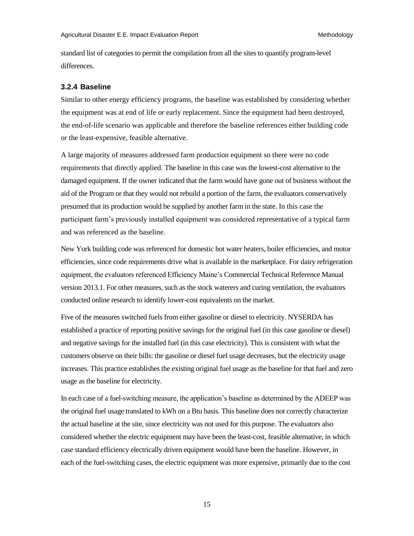standard list of categories to permit the compilation from all the sites to quantify program-level differences.

#### <span id="page-22-0"></span>**3.2.4 Baseline**

Similar to other energy efficiency programs, the baseline was established by considering whether the equipment was at end of life or early replacement. Since the equipment had been destroyed, the end-of-life scenario was applicable and therefore the baseline references either building code or the least-expensive, feasible alternative.

A large majority of measures addressed farm production equipment so there were no code requirements that directly applied. The baseline in this case was the lowest-cost alternative to the damaged equipment. If the owner indicated that the farm would have gone out of business without the aid of the Program or that they would not rebuild a portion of the farm, the evaluators conservatively presumed that its production would be supplied by another farm in the state. In this case the participant farm's previously installed equipment was considered representative of a typical farm and was referenced as the baseline.

New York building code was referenced for domestic hot water heaters, boiler efficiencies, and motor efficiencies, since code requirements drive what is available in the marketplace. For dairy refrigeration equipment, the evaluators referenced Efficiency Maine's Commercial Technical Reference Manual version 2013.1. For other measures, such as the stock waterers and curing ventilation, the evaluators conducted online research to identify lower-cost equivalents on the market.

Five of the measures switched fuels from either gasoline or diesel to electricity. NYSERDA has established a practice of reporting positive savings for the original fuel (in this case gasoline or diesel) and negative savings for the installed fuel (in this case electricity). This is consistent with what the customers observe on their bills: the gasoline or diesel fuel usage decreases, but the electricity usage increases. This practice establishes the existing original fuel usage as the baseline for that fuel and zero usage as the baseline for electricity.

In each case of a fuel-switching measure, the application's baseline as determined by the ADEEP was the original fuel usage translated to kWh on a Btu basis. This baseline does not correctly characterize the actual baseline at the site, since electricity was not used for this purpose. The evaluators also considered whether the electric equipment may have been the least-cost, feasible alternative, in which case standard efficiency electrically driven equipment would have been the baseline. However, in each of the fuel-switching cases, the electric equipment was more expensive, primarily due to the cost

15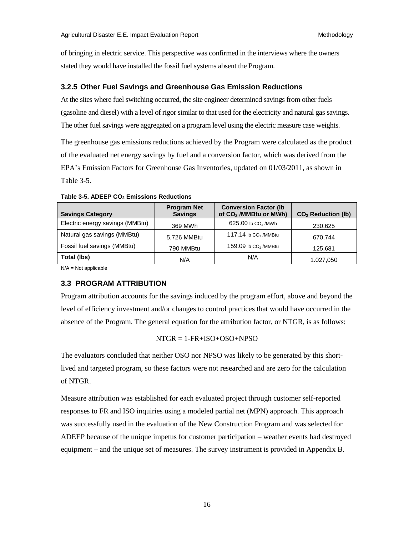of bringing in electric service. This perspective was confirmed in the interviews where the owners stated they would have installed the fossil fuel systems absent the Program.

#### <span id="page-23-0"></span>**3.2.5 Other Fuel Savings and Greenhouse Gas Emission Reductions**

At the sites where fuel switching occurred, the site engineer determined savings from other fuels (gasoline and diesel) with a level of rigor similar to that used for the electricity and natural gas savings. The other fuel savings were aggregated on a program level using the electric measure case weights.

The greenhouse gas emissions reductions achieved by the Program were calculated as the product of the evaluated net energy savings by fuel and a conversion factor, which was derived from the EPA's Emission Factors for Greenhouse Gas Inventories, updated on 01/03/2011, as shown in Table 3-5.

| <b>Savings Category</b>         | <b>Program Net</b><br><b>Savings</b> | <b>Conversion Factor (Ib)</b><br>of CO <sub>2</sub> /MMBtu or MWh) | CO <sub>2</sub> Reduction (lb) |
|---------------------------------|--------------------------------------|--------------------------------------------------------------------|--------------------------------|
| Electric energy savings (MMBtu) | 369 MWh                              | 625.00 lb CO <sub>2</sub> /MWh                                     | 230,625                        |
| Natural gas savings (MMBtu)     | 5,726 MMBtu                          | 117.14 lb $CO2$ /MMBtu                                             | 670.744                        |
| Fossil fuel savings (MMBtu)     | 790 MMBtu                            | 159.09 lb $CO2$ /MMBtu                                             | 125.681                        |
| Total (lbs)                     | N/A                                  | N/A                                                                | 1.027,050                      |

<span id="page-23-2"></span>**Table 3-5. ADEEP CO2 Emissions Reductions** 

<span id="page-23-1"></span>N/A = Not applicable

#### **3.3 PROGRAM ATTRIBUTION**

Program attribution accounts for the savings induced by the program effort, above and beyond the level of efficiency investment and/or changes to control practices that would have occurred in the absence of the Program. The general equation for the attribution factor, or NTGR, is as follows:

$$
NTGR = 1-FR+ISO+OSO+NPSO
$$

The evaluators concluded that neither OSO nor NPSO was likely to be generated by this shortlived and targeted program, so these factors were not researched and are zero for the calculation of NTGR.

Measure attribution was established for each evaluated project through customer self-reported responses to FR and ISO inquiries using a modeled partial net (MPN) approach. This approach was successfully used in the evaluation of the New Construction Program and was selected for ADEEP because of the unique impetus for customer participation – weather events had destroyed equipment – and the unique set of measures. The survey instrument is provided in Appendix B.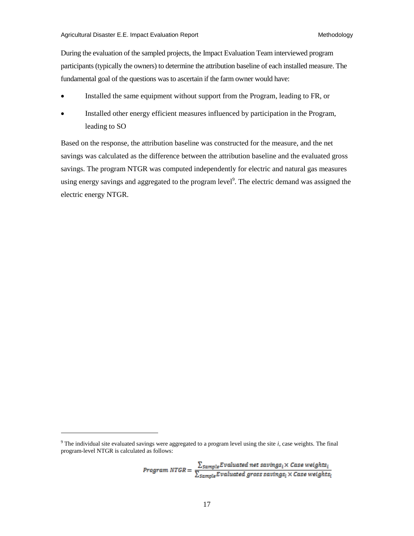During the evaluation of the sampled projects, the Impact Evaluation Team interviewed program participants (typically the owners) to determine the attribution baseline of each installed measure. The fundamental goal of the questions was to ascertain if the farm owner would have:

- Installed the same equipment without support from the Program, leading to FR, or
- Installed other energy efficient measures influenced by participation in the Program, leading to SO

Based on the response, the attribution baseline was constructed for the measure, and the net savings was calculated as the difference between the attribution baseline and the evaluated gross savings. The program NTGR was computed independently for electric and natural gas measures using energy savings and aggregated to the program level<sup>9</sup>. The electric demand was assigned the electric energy NTGR.

 $\overline{a}$ 

 $Program \; NIGR = \frac{\sum_{Sample} Evaluated \; net \; savings_{i} \times Case \; weights_{i}}{\sum_{Sample} Evaluated \; gross \; savings_{i} \times Case \; weights_{i}}$ 

 $9$  The individual site evaluated savings were aggregated to a program level using the site  $i$ , case weights. The final program-level NTGR is calculated as follows: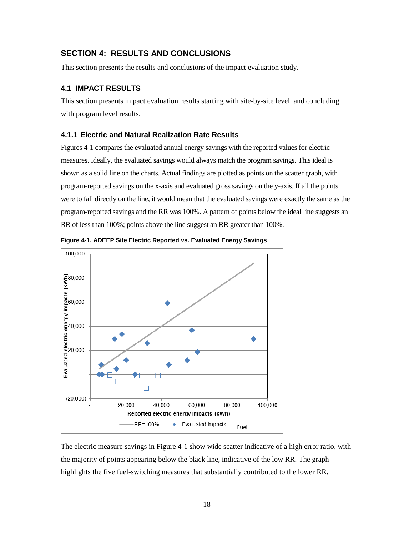## <span id="page-25-0"></span>**SECTION 4: RESULTS AND CONCLUSIONS**

This section presents the results and conclusions of the impact evaluation study.

#### <span id="page-25-1"></span>**4.1 IMPACT RESULTS**

This section presents impact evaluation results starting with site-by-site level and concluding with program level results.

#### <span id="page-25-2"></span>**4.1.1 Electric and Natural Realization Rate Results**

Figures 4-1 compares the evaluated annual energy savings with the reported values for electric measures. Ideally, the evaluated savings would always match the program savings. This ideal is shown as a solid line on the charts. Actual findings are plotted as points on the scatter graph, with program-reported savings on the x-axis and evaluated gross savings on the y-axis. If all the points were to fall directly on the line, it would mean that the evaluated savings were exactly the same as the program-reported savings and the RR was 100%. A pattern of points below the ideal line suggests an RR of less than 100%; points above the line suggest an RR greater than 100%.



<span id="page-25-3"></span>**Figure 4-1. ADEEP Site Electric Reported vs. Evaluated Energy Savings** 

The electric measure savings in Figure 4-1 show wide scatter indicative of a high error ratio, with the majority of points appearing below the black line, indicative of the low RR. The graph highlights the five fuel-switching measures that substantially contributed to the lower RR.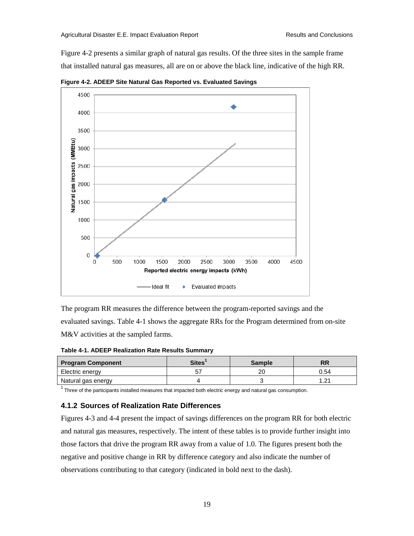Figure 4-2 presents a similar graph of natural gas results. Of the three sites in the sample frame that installed natural gas measures, all are on or above the black line, indicative of the high RR.



<span id="page-26-2"></span>**Figure 4-2. ADEEP Site Natural Gas Reported vs. Evaluated Savings** 

The program RR measures the difference between the program-reported savings and the evaluated savings. Table 4-1 shows the aggregate RRs for the Program determined from on-site M&V activities at the sampled farms.

<span id="page-26-1"></span>**Table 4-1. ADEEP Realization Rate Results Summary** 

| <b>Program Component</b> | <b>Sites</b> | <b>Sample</b> | DБ<br>NП |
|--------------------------|--------------|---------------|----------|
| Electric energy          |              | or            | 0.54     |
| Natural gas energy       |              |               | 1. 21    |

<span id="page-26-0"></span> $1$  Three of the participants installed measures that impacted both electric energy and natural gas consumption.

#### **4.1.2 Sources of Realization Rate Differences**

Figures 4-3 and 4-4 present the impact of savings differences on the program RR for both electric and natural gas measures, respectively. The intent of these tables is to provide further insight into those factors that drive the program RR away from a value of 1.0. The figures present both the negative and positive change in RR by difference category and also indicate the number of observations contributing to that category (indicated in bold next to the dash).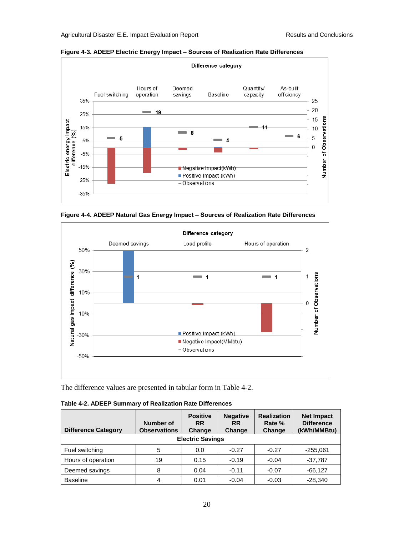

<span id="page-27-1"></span>**Figure 4-3. ADEEP Electric Energy Impact ‒ Sources of Realization Rate Differences** 

<span id="page-27-2"></span>



The difference values are presented in tabular form in Table 4-2.

<span id="page-27-0"></span>

| <b>Difference Category</b> | Number of<br><b>Observations</b> | <b>Positive</b><br><b>RR</b><br>Change | <b>Negative</b><br><b>RR</b><br>Change | <b>Realization</b><br>Rate %<br>Change | <b>Net Impact</b><br><b>Difference</b><br>(kWh/MMBtu) |
|----------------------------|----------------------------------|----------------------------------------|----------------------------------------|----------------------------------------|-------------------------------------------------------|
|                            |                                  | <b>Electric Savings</b>                |                                        |                                        |                                                       |
| Fuel switching             | 5                                | 0.0                                    | $-0.27$                                | $-0.27$                                | $-255,061$                                            |
| Hours of operation         | 19                               | 0.15                                   | $-0.19$                                | $-0.04$                                | $-37,787$                                             |
| Deemed savings             | 8                                | 0.04                                   | $-0.11$                                | $-0.07$                                | $-66.127$                                             |
| <b>Baseline</b>            | 4                                | 0.01                                   | $-0.04$                                | $-0.03$                                | $-28.340$                                             |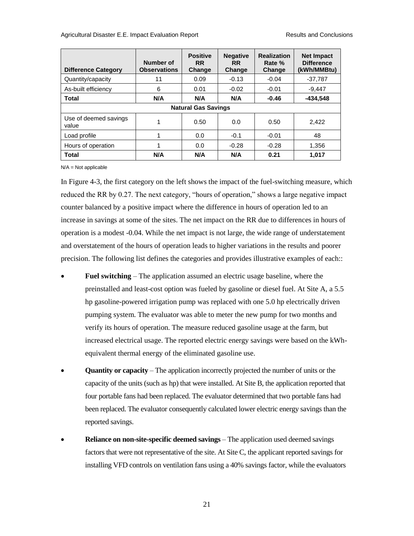| <b>Difference Category</b>     | Number of<br><b>Observations</b> | <b>Positive</b><br><b>RR</b><br>Change | <b>Negative</b><br><b>RR</b><br>Change | <b>Realization</b><br>Rate %<br>Change | <b>Net Impact</b><br><b>Difference</b><br>(kWh/MMBtu) |
|--------------------------------|----------------------------------|----------------------------------------|----------------------------------------|----------------------------------------|-------------------------------------------------------|
| Quantity/capacity              | 11                               | 0.09                                   | $-0.13$                                | $-0.04$                                | $-37.787$                                             |
| As-built efficiency            | 6                                | 0.01                                   | $-0.02$                                | $-0.01$                                | $-9.447$                                              |
| <b>Total</b>                   | N/A                              | N/A                                    | N/A                                    | $-0.46$                                | $-434.548$                                            |
| <b>Natural Gas Savings</b>     |                                  |                                        |                                        |                                        |                                                       |
| Use of deemed savings<br>value | 1                                | 0.50                                   | 0.0                                    | 0.50                                   | 2.422                                                 |
| Load profile                   | 1                                | 0.0                                    | $-0.1$                                 | $-0.01$                                | 48                                                    |
| Hours of operation             | 1                                | 0.0                                    | $-0.28$                                | $-0.28$                                | 1.356                                                 |
| <b>Total</b>                   | N/A                              | N/A                                    | N/A                                    | 0.21                                   | 1.017                                                 |

N/A = Not applicable

In Figure 4-3, the first category on the left shows the impact of the fuel-switching measure, which reduced the RR by 0.27. The next category, "hours of operation," shows a large negative impact counter balanced by a positive impact where the difference in hours of operation led to an increase in savings at some of the sites. The net impact on the RR due to differences in hours of operation is a modest -0.04. While the net impact is not large, the wide range of understatement and overstatement of the hours of operation leads to higher variations in the results and poorer precision. The following list defines the categories and provides illustrative examples of each::

- **Fuel switching** The application assumed an electric usage baseline, where the preinstalled and least-cost option was fueled by gasoline or diesel fuel. At Site A, a 5.5 hp gasoline-powered irrigation pump was replaced with one 5.0 hp electrically driven pumping system. The evaluator was able to meter the new pump for two months and verify its hours of operation. The measure reduced gasoline usage at the farm, but increased electrical usage. The reported electric energy savings were based on the kWhequivalent thermal energy of the eliminated gasoline use.
- **Quantity or capacity** The application incorrectly projected the number of units or the capacity of the units (such as hp) that were installed. At Site B, the application reported that four portable fans had been replaced. The evaluator determined that two portable fans had been replaced. The evaluator consequently calculated lower electric energy savings than the reported savings.
- **Reliance on non-site-specific deemed savings** The application used deemed savings factors that were not representative of the site. At Site C, the applicant reported savings for installing VFD controls on ventilation fans using a 40% savings factor, while the evaluators

21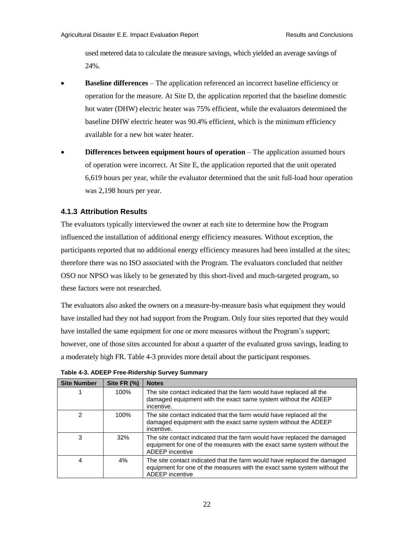used metered data to calculate the measure savings, which yielded an average savings of 24%.

- **Baseline differences** The application referenced an incorrect baseline efficiency or operation for the measure. At Site D, the application reported that the baseline domestic hot water (DHW) electric heater was 75% efficient, while the evaluators determined the baseline DHW electric heater was 90.4% efficient, which is the minimum efficiency available for a new hot water heater.
- **Differences between equipment hours of operation** The application assumed hours of operation were incorrect. At Site E, the application reported that the unit operated 6,619 hours per year, while the evaluator determined that the unit full-load hour operation was 2,198 hours per year.

#### <span id="page-29-0"></span>**4.1.3 Attribution Results**

The evaluators typically interviewed the owner at each site to determine how the Program influenced the installation of additional energy efficiency measures. Without exception, the participants reported that no additional energy efficiency measures had been installed at the sites; therefore there was no ISO associated with the Program. The evaluators concluded that neither OSO nor NPSO was likely to be generated by this short-lived and much-targeted program, so these factors were not researched.

The evaluators also asked the owners on a measure-by-measure basis what equipment they would have installed had they not had support from the Program. Only four sites reported that they would have installed the same equipment for one or more measures without the Program's support; however, one of those sites accounted for about a quarter of the evaluated gross savings, leading to a moderately high FR. Table 4-3 provides more detail about the participant responses.

| <b>Site Number</b> | Site FR (%) | <b>Notes</b>                                                                                                                                                                   |
|--------------------|-------------|--------------------------------------------------------------------------------------------------------------------------------------------------------------------------------|
|                    | 100%        | The site contact indicated that the farm would have replaced all the<br>damaged equipment with the exact same system without the ADEEP<br>incentive.                           |
| $\mathcal{P}$      | 100%        | The site contact indicated that the farm would have replaced all the<br>damaged equipment with the exact same system without the ADEEP<br>incentive.                           |
| 3                  | 32%         | The site contact indicated that the farm would have replaced the damaged<br>equipment for one of the measures with the exact same system without the<br>ADEEP incentive        |
| 4                  | $4\%$       | The site contact indicated that the farm would have replaced the damaged<br>equipment for one of the measures with the exact same system without the<br><b>ADEEP</b> incentive |

<span id="page-29-1"></span>**Table 4-3. ADEEP Free-Ridership Survey Summary**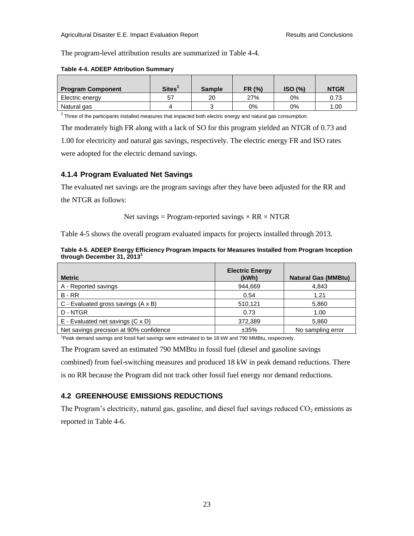The program-level attribution results are summarized in Table 4-4.

<span id="page-30-2"></span>

|  | Table 4-4. ADEEP Attribution Summary |  |
|--|--------------------------------------|--|
|  |                                      |  |

| <b>Program Component</b> | Sites <sup>'</sup> | <b>Sample</b> | FR (%) | ISO (%) | <b>NTGR</b> |
|--------------------------|--------------------|---------------|--------|---------|-------------|
| Electric energy          | 57                 | 20            | 27%    | 0%      | 0.73        |
| Natural gas              |                    |               | $0\%$  | 0%      | 1.00        |

 $1$  Three of the participants installed measures that impacted both electric energy and natural gas consumption.

The moderately high FR along with a lack of SO for this program yielded an NTGR of 0.73 and 1.00 for electricity and natural gas savings, respectively. The electric energy FR and ISO rates

were adopted for the electric demand savings.

#### <span id="page-30-0"></span>**4.1.4 Program Evaluated Net Savings**

The evaluated net savings are the program savings after they have been adjusted for the RR and

the NTGR as follows:

Net savings = Program-reported savings  $\times$  RR  $\times$  NTGR

Table 4-5 shows the overall program evaluated impacts for projects installed through 2013.

<span id="page-30-3"></span>

| Table 4-5. ADEEP Energy Efficiency Program Impacts for Measures Installed from Program Inception |  |
|--------------------------------------------------------------------------------------------------|--|
| through December 31, 2013                                                                        |  |

| <b>Metric</b>                                | <b>Electric Energy</b><br>(kWh) | <b>Natural Gas (MMBtu)</b> |
|----------------------------------------------|---------------------------------|----------------------------|
| A - Reported savings                         | 944.669                         | 4,843                      |
| $B - RR$                                     | 0.54                            | 1.21                       |
| $C$ - Evaluated gross savings $(A \times B)$ | 510,121                         | 5,860                      |
| D - NTGR                                     | 0.73                            | 1.00                       |
| $E$ - Evaluated net savings (C x D)          | 372,389                         | 5,860                      |
| Net savings precision at 90% confidence      | ±35%                            | No sampling error          |

<sup>1</sup>Peak demand savings and fossil fuel savings were estimated to be 18 kW and 790 MMBtu, respectvely.

The Program saved an estimated 790 MMBtu in fossil fuel (diesel and gasoline savings combined) from fuel-switching measures and produced 18 kW in peak demand reductions. There is no RR because the Program did not track other fossil fuel energy nor demand reductions.

## <span id="page-30-1"></span>**4.2 GREENHOUSE EMISSIONS REDUCTIONS**

<span id="page-30-4"></span>The Program's electricity, natural gas, gasoline, and diesel fuel savings reduced  $CO<sub>2</sub>$  emissions as reported in Table 4-6.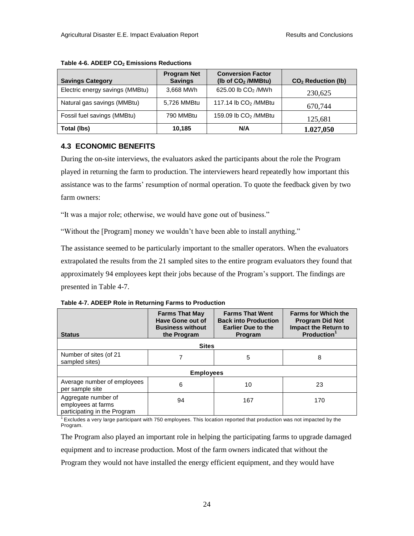| <b>Savings Category</b>         | <b>Program Net</b><br><b>Savings</b> | <b>Conversion Factor</b><br>(Ib of $CO2$ /MMBtu) | CO <sub>2</sub> Reduction (lb) |
|---------------------------------|--------------------------------------|--------------------------------------------------|--------------------------------|
| Electric energy savings (MMBtu) | 3,668 MWh                            | 625.00 lb CO <sub>2</sub> /MWh                   | 230,625                        |
| Natural gas savings (MMBtu)     | 5,726 MMBtu                          | 117.14 lb $CO2$ /MMBtu                           | 670,744                        |
| Fossil fuel savings (MMBtu)     | 790 MMBtu                            | 159.09 lb $CO2$ /MMBtu                           | 125,681                        |
| Total (lbs)                     | 10,185                               | N/A                                              | 1.027,050                      |

#### **Table 4-6. ADEEP CO2 Emissions Reductions**

## <span id="page-31-0"></span>**4.3 ECONOMIC BENEFITS**

During the on-site interviews, the evaluators asked the participants about the role the Program played in returning the farm to production. The interviewers heard repeatedly how important this assistance was to the farms' resumption of normal operation. To quote the feedback given by two farm owners:

"It was a major role; otherwise, we would have gone out of business."

"Without the [Program] money we wouldn't have been able to install anything."

The assistance seemed to be particularly important to the smaller operators. When the evaluators extrapolated the results from the 21 sampled sites to the entire program evaluators they found that approximately 94 employees kept their jobs because of the Program's support. The findings are presented in Table 4-7.

<span id="page-31-1"></span>

| Table 4-7. ADEEP Role in Returning Farms to Production |  |  |
|--------------------------------------------------------|--|--|
|--------------------------------------------------------|--|--|

| <b>Status</b>                                                             | <b>Farms That May</b><br>Have Gone out of<br><b>Business without</b><br>the Program | <b>Farms That Went</b><br><b>Back into Production</b><br><b>Earlier Due to the</b><br><b>Program</b> | <b>Farms for Which the</b><br><b>Program Did Not</b><br><b>Impact the Return to</b><br><b>Production</b> |  |
|---------------------------------------------------------------------------|-------------------------------------------------------------------------------------|------------------------------------------------------------------------------------------------------|----------------------------------------------------------------------------------------------------------|--|
| <b>Sites</b>                                                              |                                                                                     |                                                                                                      |                                                                                                          |  |
| Number of sites (of 21<br>sampled sites)                                  |                                                                                     | 5                                                                                                    | 8                                                                                                        |  |
| <b>Employees</b>                                                          |                                                                                     |                                                                                                      |                                                                                                          |  |
| Average number of employees<br>per sample site                            | 6                                                                                   | 10                                                                                                   | 23                                                                                                       |  |
| Aggregate number of<br>employees at farms<br>participating in the Program | 94                                                                                  | 167                                                                                                  | 170                                                                                                      |  |

 $1$  Excludes a very large participant with 750 employees. This location reported that production was not impacted by the Program.

The Program also played an important role in helping the participating farms to upgrade damaged equipment and to increase production. Most of the farm owners indicated that without the Program they would not have installed the energy efficient equipment, and they would have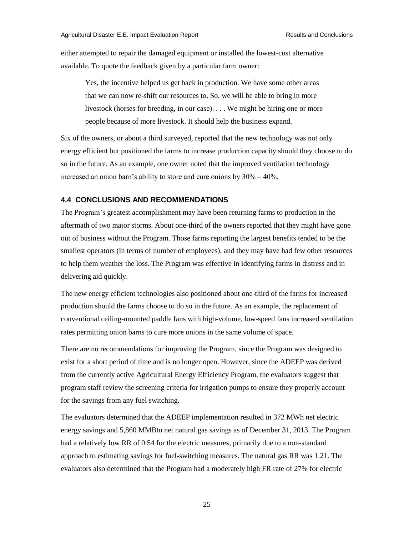either attempted to repair the damaged equipment or installed the lowest-cost alternative available. To quote the feedback given by a particular farm owner:

Yes, the incentive helped us get back in production. We have some other areas that we can now re-shift our resources to. So, we will be able to bring in more livestock (horses for breeding, in our case). . . . We might be hiring one or more people because of more livestock. It should help the business expand.

Six of the owners, or about a third surveyed, reported that the new technology was not only energy efficient but positioned the farms to increase production capacity should they choose to do so in the future. As an example, one owner noted that the improved ventilation technology increased an onion barn's ability to store and cure onions by  $30\% - 40\%$ .

#### <span id="page-32-0"></span>**4.4 CONCLUSIONS AND RECOMMENDATIONS**

The Program's greatest accomplishment may have been returning farms to production in the aftermath of two major storms. About one-third of the owners reported that they might have gone out of business without the Program. Those farms reporting the largest benefits tended to be the smallest operators (in terms of number of employees), and they may have had few other resources to help them weather the loss. The Program was effective in identifying farms in distress and in delivering aid quickly.

The new energy efficient technologies also positioned about one-third of the farms for increased production should the farms choose to do so in the future. As an example, the replacement of conventional ceiling-mounted paddle fans with high-volume, low-speed fans increased ventilation rates permitting onion barns to cure more onions in the same volume of space.

There are no recommendations for improving the Program, since the Program was designed to exist for a short period of time and is no longer open. However, since the ADEEP was derived from the currently active Agricultural Energy Efficiency Program, the evaluators suggest that program staff review the screening criteria for irrigation pumps to ensure they properly account for the savings from any fuel switching.

The evaluators determined that the ADEEP implementation resulted in 372 MWh net electric energy savings and 5,860 MMBtu net natural gas savings as of December 31, 2013. The Program had a relatively low RR of 0.54 for the electric measures, primarily due to a non-standard approach to estimating savings for fuel-switching measures. The natural gas RR was 1.21. The evaluators also determined that the Program had a moderately high FR rate of 27% for electric

25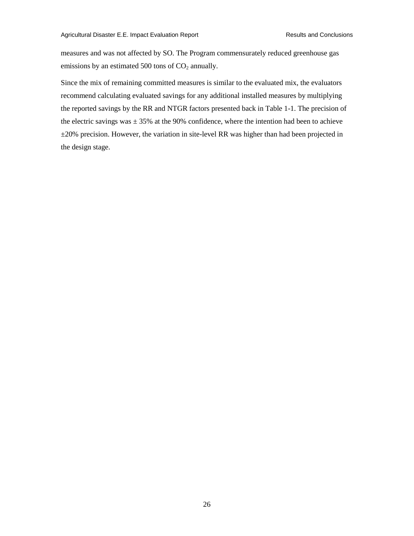measures and was not affected by SO. The Program commensurately reduced greenhouse gas emissions by an estimated 500 tons of  $CO<sub>2</sub>$  annually.

Since the mix of remaining committed measures is similar to the evaluated mix, the evaluators recommend calculating evaluated savings for any additional installed measures by multiplying the reported savings by the RR and NTGR factors presented back in Table 1-1. The precision of the electric savings was  $\pm$  35% at the 90% confidence, where the intention had been to achieve  $\pm 20\%$  precision. However, the variation in site-level RR was higher than had been projected in the design stage.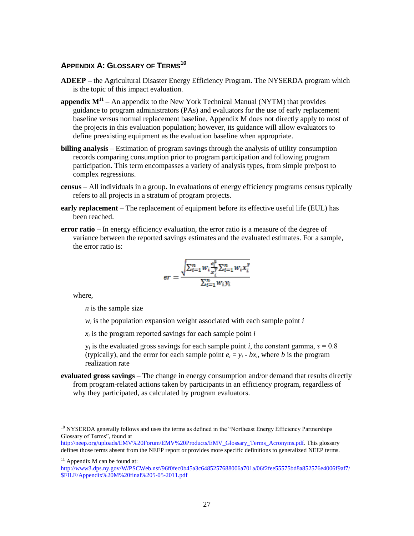#### <span id="page-34-0"></span>**APPENDIX A: GLOSSARY OF TERMS<sup>10</sup>**

- **ADEEP –** the Agricultural Disaster Energy Efficiency Program. The NYSERDA program which is the topic of this impact evaluation.
- **appendix**  $M^{11}$  An appendix to the New York Technical Manual (NYTM) that provides guidance to program administrators (PAs) and evaluators for the use of early replacement baseline versus normal replacement baseline. Appendix M does not directly apply to most of the projects in this evaluation population; however, its guidance will allow evaluators to define preexisting equipment as the evaluation baseline when appropriate.
- **billing analysis**  Estimation of program savings through the analysis of utility consumption records comparing consumption prior to program participation and following program participation. This term encompasses a variety of analysis types, from simple pre/post to complex regressions.
- **census**  All individuals in a group. In evaluations of energy efficiency programs census typically refers to all projects in a stratum of program projects.
- **early replacement**  The replacement of equipment before its effective useful life (EUL) has been reached.
- **error ratio**  In energy efficiency evaluation, the error ratio is a measure of the degree of variance between the reported savings estimates and the evaluated estimates. For a sample, the error ratio is:

$$
er = \frac{\sqrt{\sum_{i=1}^{n} w_i \frac{e_i^2}{x_i^y} \sum_{i=1}^{n} w_i x_i^y}}{\sum_{i=1}^{n} w_i y_i}
$$

where,

l

*n* is the sample size

*wi* is the population expansion weight associated with each sample point *i*

*xi* is the program reported savings for each sample point *i*

 $y_i$  is the evaluated gross savings for each sample point *i*, the constant gamma,  $x = 0.8$ (typically), and the error for each sample point  $e_i = y_i - bx_i$ , where *b* is the program realization rate

**evaluated gross savings** – The change in energy consumption and/or demand that results directly from program-related actions taken by participants in an efficiency program, regardless of why they participated, as calculated by program evaluators.

<sup>&</sup>lt;sup>10</sup> NYSERDA generally follows and uses the terms as defined in the "Northeast Energy Efficiency Partnerships Glossary of Terms", found at

[http://neep.org/uploads/EMV%20Forum/EMV%20Products/EMV\\_Glossary\\_Terms\\_Acronyms.pdf.](http://neep.org/uploads/EMV%20Forum/EMV%20Products/EMV_Glossary_Terms_Acronyms.pdf) This glossary defines those terms absent from the NEEP report or provides more specific definitions to generalized NEEP terms.

 $11$  Appendix M can be found at:

[http://www3.dps.ny.gov/W/PSCWeb.nsf/96f0fec0b45a3c6485257688006a701a/06f2fee55575bd8a852576e4006f9af7/](http://www3.dps.ny.gov/W/PSCWeb.nsf/96f0fec0b45a3c6485257688006a701a/06f2fee55575bd8a852576e4006f9af7/$FILE/Appendix%20M%20final%205-05-2011.pdf)  $\frac{1}{\text{SFIL E/Appendix\%20M\%20final\%205-05-2011.pdf}}$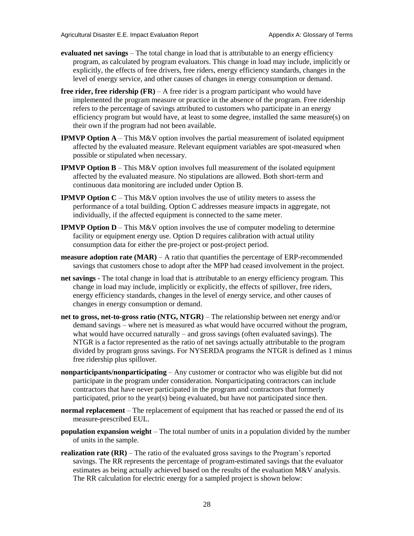- **evaluated net savings** The total change in load that is attributable to an energy efficiency program, as calculated by program evaluators. This change in load may include, implicitly or explicitly, the effects of free drivers, free riders, energy efficiency standards, changes in the level of energy service, and other causes of changes in energy consumption or demand.
- **free rider, free ridership (FR)** A free rider is a program participant who would have implemented the program measure or practice in the absence of the program. Free ridership refers to the percentage of savings attributed to customers who participate in an energy efficiency program but would have, at least to some degree, installed the same measure(s) on their own if the program had not been available.
- **IPMVP Option A** This M&V option involves the partial measurement of isolated equipment affected by the evaluated measure. Relevant equipment variables are spot-measured when possible or stipulated when necessary.
- **IPMVP Option B** This M&V option involves full measurement of the isolated equipment affected by the evaluated measure. No stipulations are allowed. Both short-term and continuous data monitoring are included under Option B.
- **IPMVP Option**  $C This M&V$  option involves the use of utility meters to assess the performance of a total building. Option C addresses measure impacts in aggregate, not individually, if the affected equipment is connected to the same meter.
- **IPMVP Option D** This M&V option involves the use of computer modeling to determine facility or equipment energy use. Option D requires calibration with actual utility consumption data for either the pre-project or post-project period.
- **measure adoption rate (MAR)**  $A$  ratio that quantifies the percentage of ERP-recommended savings that customers chose to adopt after the MPP had ceased involvement in the project.
- **net savings**  The total change in load that is attributable to an energy efficiency program. This change in load may include, implicitly or explicitly, the effects of spillover, free riders, energy efficiency standards, changes in the level of energy service, and other causes of changes in energy consumption or demand.
- **net to gross, net-to-gross ratio (NTG, NTGR)** The relationship between net energy and/or demand savings – where net is measured as what would have occurred without the program, what would have occurred naturally – and gross savings (often evaluated savings). The NTGR is a factor represented as the ratio of net savings actually attributable to the program divided by program gross savings. For NYSERDA programs the NTGR is defined as 1 minus free ridership plus spillover.
- **nonparticipants/nonparticipating**  Any customer or contractor who was eligible but did not participate in the program under consideration. Nonparticipating contractors can include contractors that have never participated in the program and contractors that formerly participated, prior to the year(s) being evaluated, but have not participated since then.
- **normal replacement**  The replacement of equipment that has reached or passed the end of its measure-prescribed EUL.
- **population expansion weight**  The total number of units in a population divided by the number of units in the sample.
- **realization rate (RR)** The ratio of the evaluated gross savings to the Program's reported savings. The RR represents the percentage of program-estimated savings that the evaluator estimates as being actually achieved based on the results of the evaluation M&V analysis. The RR calculation for electric energy for a sampled project is shown below: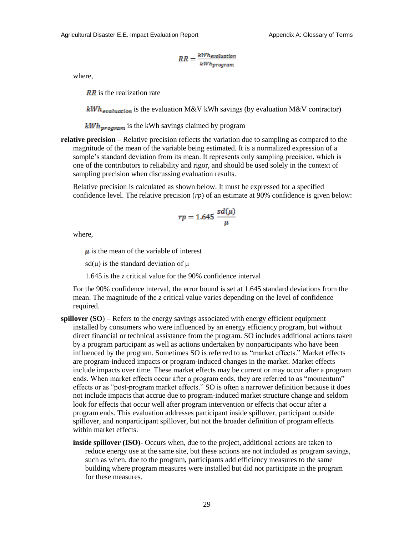$$
RR = \frac{kWh_{evaluation}}{kWh_{program}}
$$

where,

 $\overline{RR}$  is the realization rate

 $kWh$ <sub>avaluation</sub> is the evaluation M&V kWh savings (by evaluation M&V contractor)

 $kWh_{\text{vrogram}}$  is the kWh savings claimed by program

**relative precision** – Relative precision reflects the variation due to sampling as compared to the magnitude of the mean of the variable being estimated. It is a normalized expression of a sample's standard deviation from its mean. It represents only sampling precision, which is one of the contributors to reliability and rigor, and should be used solely in the context of sampling precision when discussing evaluation results.

 Relative precision is calculated as shown below. It must be expressed for a specified confidence level. The relative precision (*rp*) of an estimate at 90% confidence is given below:

$$
rp = 1.645 \frac{sd(\mu)}{\mu}
$$

where,

 $\mu$  is the mean of the variable of interest

sd( $\mu$ ) is the standard deviation of  $\mu$ 

1.645 is the *z* critical value for the 90% confidence interval

For the 90% confidence interval, the error bound is set at 1.645 standard deviations from the mean. The magnitude of the *z* critical value varies depending on the level of confidence required.

- **spillover (SO)** Refers to the energy savings associated with energy efficient equipment installed by consumers who were influenced by an energy efficiency program, but without direct financial or technical assistance from the program. SO includes additional actions taken by a program participant as well as actions undertaken by nonparticipants who have been influenced by the program. Sometimes SO is referred to as "market effects." Market effects are program-induced impacts or program-induced changes in the market. Market effects include impacts over time. These market effects may be current or may occur after a program ends. When market effects occur after a program ends, they are referred to as "momentum" effects or as "post-program market effects." SO is often a narrower definition because it does not include impacts that accrue due to program-induced market structure change and seldom look for effects that occur well after program intervention or effects that occur after a program ends. This evaluation addresses participant inside spillover, participant outside spillover, and nonparticipant spillover, but not the broader definition of program effects within market effects.
	- **inside spillover (ISO)-** Occurs when, due to the project, additional actions are taken to reduce energy use at the same site, but these actions are not included as program savings, such as when, due to the program, participants add efficiency measures to the same building where program measures were installed but did not participate in the program for these measures.